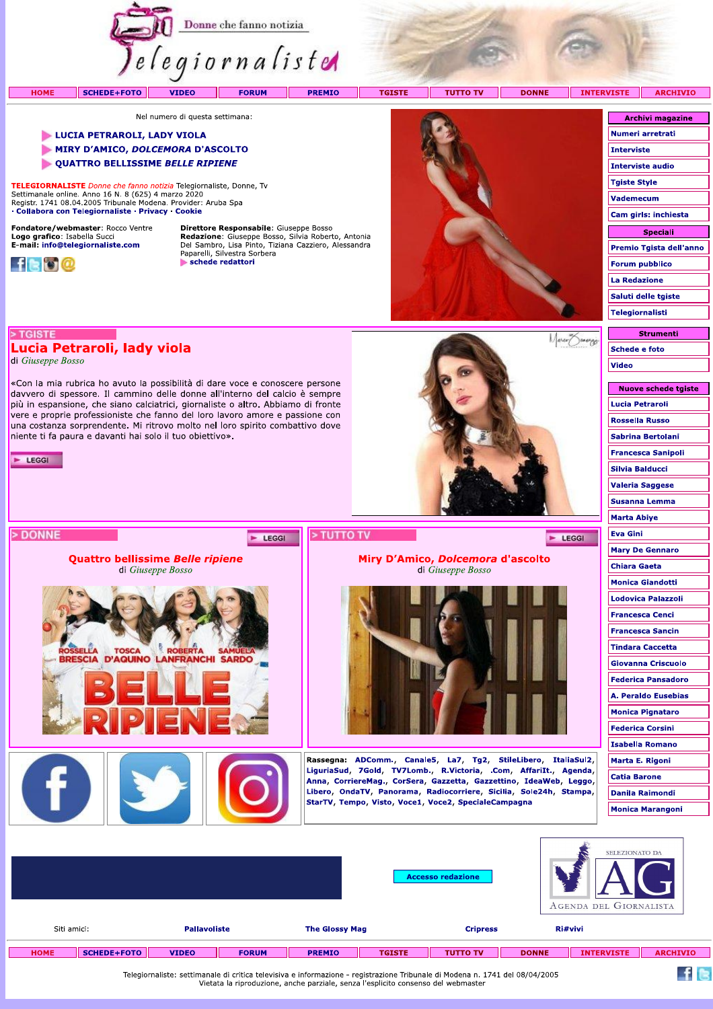

|             |             |                     |              |                       |               |                 |                 |              | ___<br>AGENDA DEL GIORNALISTA |                |  |  |
|-------------|-------------|---------------------|--------------|-----------------------|---------------|-----------------|-----------------|--------------|-------------------------------|----------------|--|--|
| Siti amici: |             | <b>Pallavoliste</b> |              | <b>The Glossy Mag</b> |               | <b>Cripress</b> |                 | Ri#vivi      |                               |                |  |  |
|             | <b>HOME</b> | <b>SCHEDE+FOTO</b>  | <b>VIDEO</b> | <b>FORUM</b>          | <b>PREMIO</b> | <b>TGISTE</b>   | <b>TUTTO TV</b> | <b>DONNE</b> | <b>INTERVISTE</b>             | <b>ARCHIVI</b> |  |  |

Telegiornaliste: settimanale di critica televisiva e informazione - registrazione Tribunale di Modena n. 1741 del 08/04/2005 Vietata la riproduzione, anche parziale, senza l'esplicito consenso del webmaster

 $f \approx$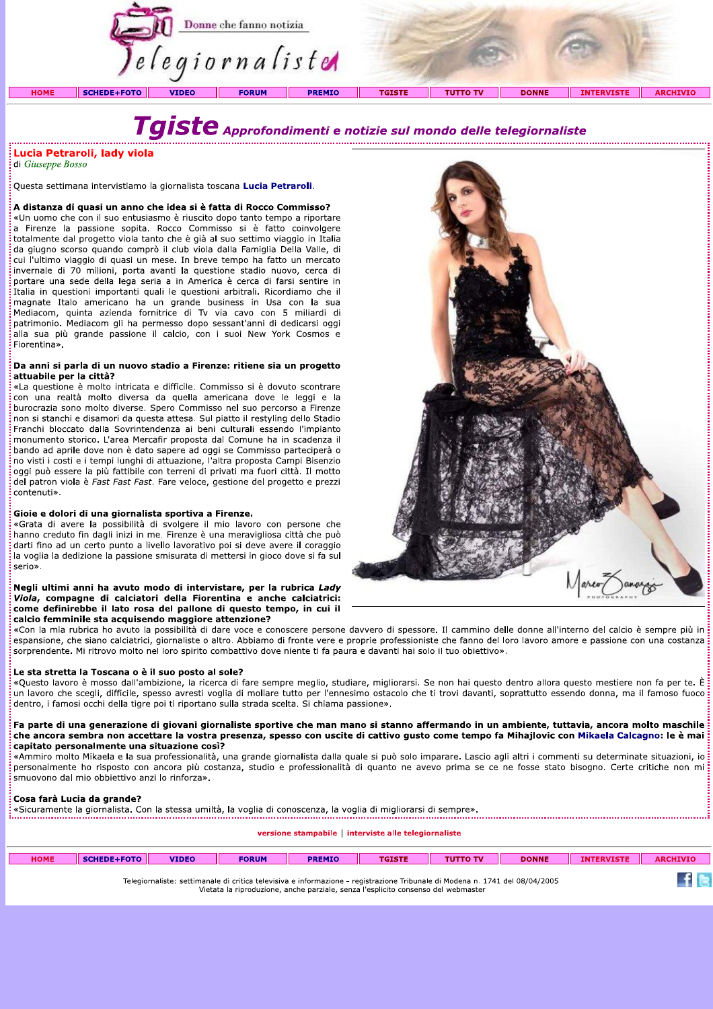

# Tgiste Approfondimenti e notizie sul mondo delle telegiornaliste

Lucia Petraroli, lady viola di Giuseppe Bosso

Questa settimana intervistiamo la giornalista toscana Lucia Petraroli.

A distanza di quasi un anno che idea si è fatta di Rocco Commisso? «Un uomo che con il suo entusiasmo è riuscito dopo tanto tempo a riportare a Firenze la passione sopita. Rocco Commisso si è fatto coinvolgere totalmente dal progetto viola tanto che è già al suo settimo viaggio in Italia da giugno scorso quando comprò il club viola dalla Famiglia Della Valle, di cui l'ultimo viaggio di quasi un mese. In breve tempo ha fatto un mercato invernale di 70 milioni, porta avanti la questione stadio nuovo, cerca di portare una sede della lega seria a in America è cerca di farsi sentire in Italia in questioni importanti quali le questioni arbitrali. Ricordiamo che il magnate Italo americano ha un grande business in Usa con la sua Mediacom, quinta azienda fornitrice di Tv via cavo con 5 miliardi di patrimonio. Mediacom gli ha permesso dopo sessant'anni di dedicarsi oggi alla sua più grande passione il calcio, con i suoi New York Cosmos e Fiorentina».

#### Da anni si parla di un nuovo stadio a Firenze: ritiene sia un progetto attuabile per la città?

«La questione è molto intricata e difficile. Commisso si è dovuto scontrare con una realtà molto diversa da quella americana dove le leggi e la burocrazia sono molto diverse. Spero Commisso nel suo percorso a Firenze non si stanchi e disamori da questa attesa. Sul piatto il restyling dello Stadio Franchi bloccato dalla Sovrintendenza ai beni culturali essendo l'impianto monumento storico. L'area Mercafir proposta dal Comune ha in scadenza il bando ad aprile dove non è dato sapere ad oggi se Commisso parteciperà o no visti i costi e i tempi lunghi di attuazione, l'altra proposta Campi Bisenzio oggi può essere la più fattibile con terreni di privati ma fuori città. Il motto del patron viola è Fast Fast Fast. Fare veloce, gestione del progetto e prezzi contenuti».

#### Gioie e dolori di una giornalista sportiva a Firenze.

«Grata di avere la possibilità di svolgere il mio lavoro con persone che hanno creduto fin dagli inizi in me. Firenze è una meravigliosa città che può darti fino ad un certo punto a livello lavorativo poi si deve avere il coraggio la voglia la dedizione la passione smisurata di mettersi in gioco dove si fa sul serio».

#### Negli ultimi anni ha avuto modo di intervistare, per la rubrica Lady Viola, compagne di calciatori della Fiorentina e anche calciatrici: come definirebbe il lato rosa del pallone di questo tempo, in cui il calcio femminile sta acquisendo maggiore attenzione?

«Con la mia rubrica ho avuto la possibilità di dare voce e conoscere persone davvero di spessore. Il cammino delle donne all'interno del calcio è sempre più in espansione, che siano calciatrici, giornaliste o altro. Abbiamo di fronte vere e proprie professioniste che fanno del loro lavoro amore e passione con una costanza sorprendente. Mi ritrovo molto nel loro spirito combattivo dove niente ti fa paura e davanti hai solo il tuo obiettivo».

#### Le sta stretta la Toscana o è il suo posto al sole?

«Questo lavoro è mosso dall'ambizione, la ricerca di fare sempre meglio, studiare, migliorarsi. Se non hai questo dentro allora questo mestiere non fa per te. È un lavoro che scegli, difficile, spesso avresti voglia di mollare tutto per l'ennesimo ostacolo che ti trovi davanti, soprattutto essendo donna, ma il famoso fuoco dentro, i famosi occhi della tigre poi ti riportano sulla strada scelta. Si chiama passione».

#### Fa parte di una generazione di giovani giornaliste sportive che man mano si stanno affermando in un ambiente, tuttavia, ancora molto maschile che ancora sembra non accettare la vostra presenza, spesso con uscite di cattivo gusto come tempo fa Mihajlovic con Mikaela Calcagno: le è mai capitato personalmente una situazione così?

«Ammiro molto Mikaela e la sua professionalità, una grande giornalista dalla quale si può solo imparare. Lascio agli altri i commenti su determinate situazioni, io personalmente ho risposto con ancora più costanza, studio e professionalità di quanto ne avevo prima se ce ne fosse stato bisogno. Certe critiche non mi smuovono dal mio obbiettivo anzi lo rinforza».

#### Cosa farà Lucia da grande?

Cosa rara Cucra da grande:<br>«Sicuramente la giornalista. Con la stessa umiltà, la voglia di conoscenza, la voglia di migliorarsi di sempre».

versione stampabile | interviste alle telegiornaliste

| <b>HOME</b> | SCHEDE+FOTO                                                                                                                                                                                                       | <b>VIDEO</b> | <b>FORUM</b> | <b>PREMIO</b> | <b>TGISTE</b> | <b>TUTTO TV</b> | <b>DONNE</b> | <b>INTERVISTE</b> | <b>ARCHIVIO</b> |
|-------------|-------------------------------------------------------------------------------------------------------------------------------------------------------------------------------------------------------------------|--------------|--------------|---------------|---------------|-----------------|--------------|-------------------|-----------------|
|             | Telegiornaliste: settimanale di critica televisiva e informazione - registrazione Tribunale di Modena n. 1741 del 08/04/2005<br>Vietata la riproduzione, anche parziale, senza l'esplicito consenso del webmaster |              |              |               |               |                 |              |                   |                 |

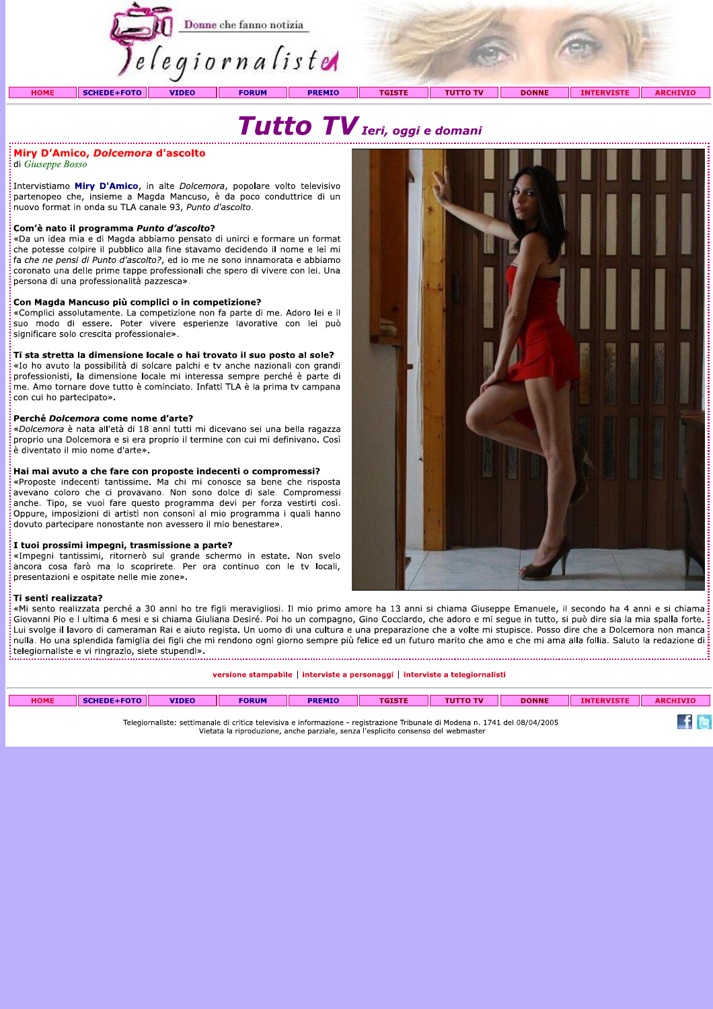



### Miry D'Amico, *Dolcemora* d'ascolto

di Giuseppe Bosso

Intervistiamo Miry D'Amico, in alte Dolcemora, popolare volto televisivo partenopeo che, insieme a Magda Mancuso, è da poco conduttrice di un nuovo format in onda su TLA canale 93, Punto d'ascolto.

#### Com'è nato il programma Punto d'ascolto?

«Da un idea mia e di Magda abbiamo pensato di unirci e formare un format che potesse colpire il pubblico alla fine stavamo decidendo il nome e lei mi fa che ne pensi di Punto d'ascolto?, ed io me ne sono innamorata e abbiamo coronato una delle prime tappe professionali che spero di vivere con lei. Una persona di una professionalità pazzesca».

#### Con Magda Mancuso più complici o in competizione?

«Complici assolutamente. La competizione non fa parte di me. Adoro lei e il suo modo di essere. Poter vivere esperienze lavorative con lei può significare solo crescita professionale».

#### Ti sta stretta la dimensione locale o hai trovato il suo posto al sole?

«Io ho avuto la possibilità di solcare palchi e tv anche nazionali con grandi professionisti, la dimensione locale mi interessa sempre perché è parte di me. Amo tornare dove tutto è cominciato. Infatti TLA è la prima tv campana con cui ho partecipato».

#### Perché Dolcemora come nome d'arte?

«Dolcemora è nata all'età di 18 anni tutti mi dicevano sei una bella ragazza proprio una Dolcemora e si era proprio il termine con cui mi definivano. Così .<br>è diventato il mio nome d'arte».

#### Hai mai avuto a che fare con proposte indecenti o compromessi?

«Proposte indecenti tantissime. Ma chi mi conosce sa bene che risposta avevano coloro che ci provavano. Non sono dolce di sale. Compromessi anche. Tipo, se vuoi fare questo programma devi per forza vestirti così. Oppure, imposizioni di artisti non consoni al mio programma i quali hanno dovuto partecipare nonostante non avessero il mio benestare».

#### I tuoi prossimi impegni, trasmissione a parte?

«Impegni tantissimi, ritornerò sul grande schermo in estate. Non svelo ancora cosa farò ma lo scoprirete. Per ora continuo con le tv locali, presentazioni e ospitate nelle mie zone».

#### Ti senti realizzata?

«Mi sento realizzata perché a 30 anni ho tre figli meravigliosi. Il mio primo amore ha 13 anni si chiama Giuseppe Emanuele, il secondo ha 4 anni e si chiama Giovanni Pio e I ultima 6 mesi e si chiama Giuliana Desiré. Poi ho un compagno, Gino Cocciardo, che adoro e mi seque in tutto, si può dire sia la mia spalla forte. Lui svolge il lavoro di cameraman Rai e aiuto regista. Un uomo di una cultura e una preparazione che a volte mi stupisce. Posso dire che a Dolcemora non manca nulla. Ho una splendida famiglia dei figli che mi rendono ogni giorno sempre più felice ed un futuro marito che amo e che mi ama alla follia. Saluto la redazione di telegiornaliste e vi ringrazio, siete stupendi». 

| versione stampabile   interviste a personaggi   interviste a telegiornalisti |                    |              |              |               |               |                 |              |                   |                 |  |  |
|------------------------------------------------------------------------------|--------------------|--------------|--------------|---------------|---------------|-----------------|--------------|-------------------|-----------------|--|--|
| <b>HOME</b>                                                                  | <b>SCHEDE+FOTO</b> | <b>VIDEO</b> | <b>FORUM</b> | <b>PREMIO</b> | <b>TGISTE</b> | <b>TUTTO TV</b> | <b>DONNE</b> | <b>INTERVISTE</b> | <b>ARCHIVIO</b> |  |  |
|                                                                              |                    |              |              |               |               |                 |              |                   |                 |  |  |

Telegiornaliste: settimanale di critica televisiva e informazione - registrazione Tribunale di Modena n. 1741 del 08/04/2005 Vietata la riproduzione, anche parziale, senza l'esplicito consenso del webmaste



 $f$  is